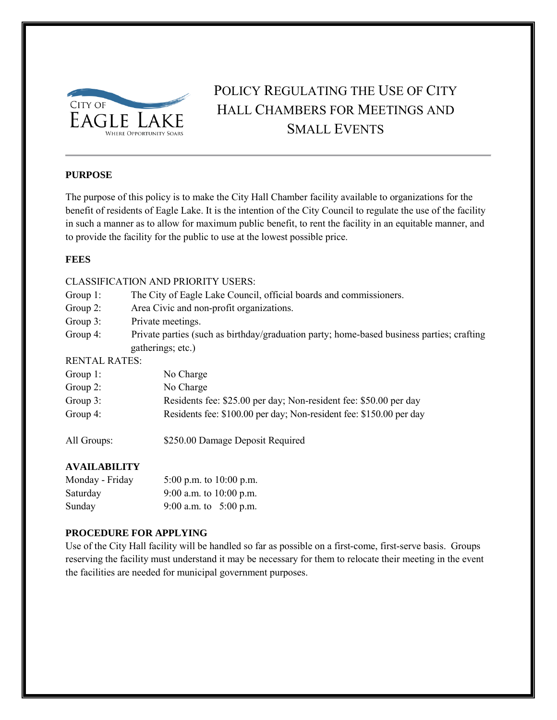

### POLICY REGULATING THE USE OF CITY HALL CHAMBERS FOR MEETINGS AND SMALL EVENTS

#### **PURPOSE**

The purpose of this policy is to make the City Hall Chamber facility available to organizations for the benefit of residents of Eagle Lake. It is the intention of the City Council to regulate the use of the facility in such a manner as to allow for maximum public benefit, to rent the facility in an equitable manner, and to provide the facility for the public to use at the lowest possible price.

#### **FEES**

#### CLASSIFICATION AND PRIORITY USERS:

- Group 1: The City of Eagle Lake Council, official boards and commissioners.
- Group 2: Area Civic and non-profit organizations.
- Group 3: Private meetings.
- Group 4: Private parties (such as birthday/graduation party; home-based business parties; crafting gatherings; etc.)

#### RENTAL RATES:

| Group $1$ : | No Charge                                                           |
|-------------|---------------------------------------------------------------------|
| Group $2$ : | No Charge                                                           |
| Group $3$ : | Residents fee: \$25.00 per day; Non-resident fee: \$50.00 per day   |
| Group $4$ : | Residents fee: \$100.00 per day; Non-resident fee: \$150.00 per day |
|             |                                                                     |

All Groups: \$250.00 Damage Deposit Required

#### **AVAILABILITY**

| Monday - Friday | 5:00 p.m. to $10:00$ p.m. |
|-----------------|---------------------------|
| Saturday        | 9:00 a.m. to $10:00$ p.m. |
| Sunday          | 9:00 a.m. to $5:00$ p.m.  |

#### **PROCEDURE FOR APPLYING**

Use of the City Hall facility will be handled so far as possible on a first-come, first-serve basis. Groups reserving the facility must understand it may be necessary for them to relocate their meeting in the event the facilities are needed for municipal government purposes.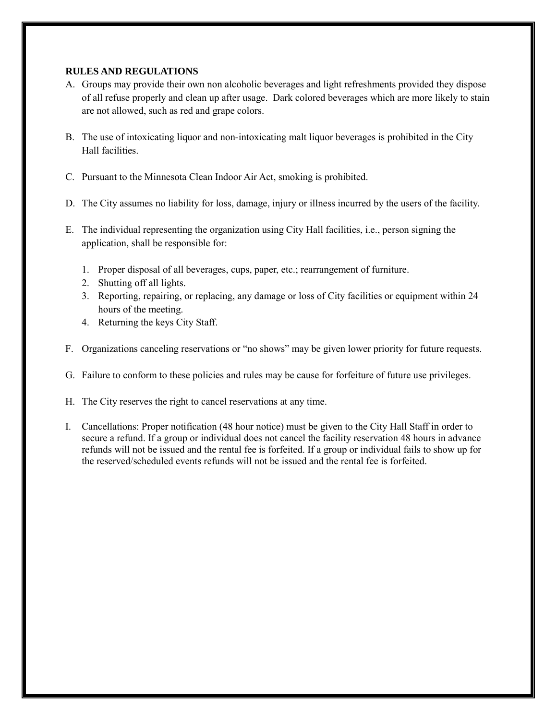#### **RULES AND REGULATIONS**

- A. Groups may provide their own non alcoholic beverages and light refreshments provided they dispose of all refuse properly and clean up after usage. Dark colored beverages which are more likely to stain are not allowed, such as red and grape colors.
- B. The use of intoxicating liquor and non-intoxicating malt liquor beverages is prohibited in the City Hall facilities.
- C. Pursuant to the Minnesota Clean Indoor Air Act, smoking is prohibited.
- D. The City assumes no liability for loss, damage, injury or illness incurred by the users of the facility.
- E. The individual representing the organization using City Hall facilities, i.e., person signing the application, shall be responsible for:
	- 1. Proper disposal of all beverages, cups, paper, etc.; rearrangement of furniture.
	- 2. Shutting off all lights.
	- 3. Reporting, repairing, or replacing, any damage or loss of City facilities or equipment within 24 hours of the meeting.
	- 4. Returning the keys City Staff.
- F. Organizations canceling reservations or "no shows" may be given lower priority for future requests.
- G. Failure to conform to these policies and rules may be cause for forfeiture of future use privileges.
- H. The City reserves the right to cancel reservations at any time.
- I. Cancellations: Proper notification (48 hour notice) must be given to the City Hall Staff in order to secure a refund. If a group or individual does not cancel the facility reservation 48 hours in advance refunds will not be issued and the rental fee is forfeited. If a group or individual fails to show up for the reserved/scheduled events refunds will not be issued and the rental fee is forfeited.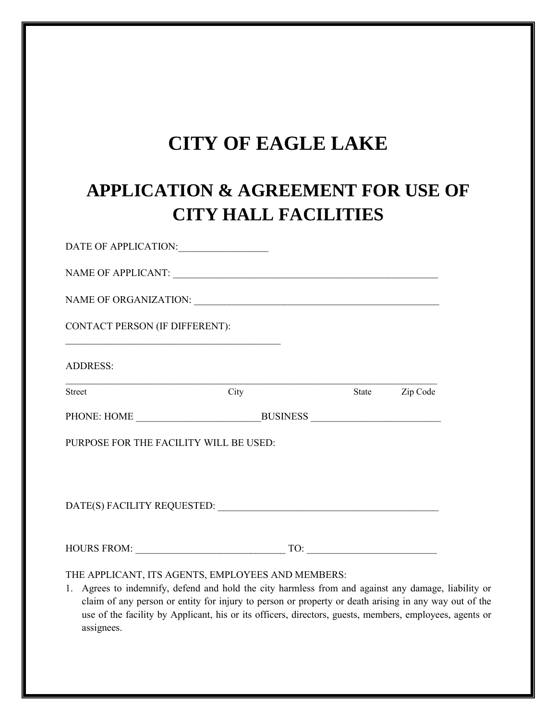## **CITY OF EAGLE LAKE**

# **APPLICATION & AGREEMENT FOR USE OF CITY HALL FACILITIES**

| DATE OF APPLICATION:                                                                                                                                                                                                                                                                                                                                                                       |                                                                                                                       |       |          |  |
|--------------------------------------------------------------------------------------------------------------------------------------------------------------------------------------------------------------------------------------------------------------------------------------------------------------------------------------------------------------------------------------------|-----------------------------------------------------------------------------------------------------------------------|-------|----------|--|
|                                                                                                                                                                                                                                                                                                                                                                                            |                                                                                                                       |       |          |  |
| NAME OF ORGANIZATION: UNIVERSITY OF ORGANIZATION:                                                                                                                                                                                                                                                                                                                                          |                                                                                                                       |       |          |  |
| <b>CONTACT PERSON (IF DIFFERENT):</b>                                                                                                                                                                                                                                                                                                                                                      | <u> 1989 - Johann Barn, mars ann an t-Amhain an t-Amhain an t-Amhain an t-Amhain an t-Amhain an t-Amhain an t-Amh</u> |       |          |  |
| <b>ADDRESS:</b>                                                                                                                                                                                                                                                                                                                                                                            |                                                                                                                       |       |          |  |
| Street                                                                                                                                                                                                                                                                                                                                                                                     | City                                                                                                                  | State | Zip Code |  |
|                                                                                                                                                                                                                                                                                                                                                                                            |                                                                                                                       |       |          |  |
| PURPOSE FOR THE FACILITY WILL BE USED:                                                                                                                                                                                                                                                                                                                                                     |                                                                                                                       |       |          |  |
|                                                                                                                                                                                                                                                                                                                                                                                            |                                                                                                                       |       |          |  |
|                                                                                                                                                                                                                                                                                                                                                                                            |                                                                                                                       |       |          |  |
| THE APPLICANT, ITS AGENTS, EMPLOYEES AND MEMBERS:<br>1. Agrees to indemnify, defend and hold the city harmless from and against any damage, liability or<br>claim of any person or entity for injury to person or property or death arising in any way out of the<br>use of the facility by Applicant, his or its officers, directors, guests, members, employees, agents or<br>assignees. |                                                                                                                       |       |          |  |